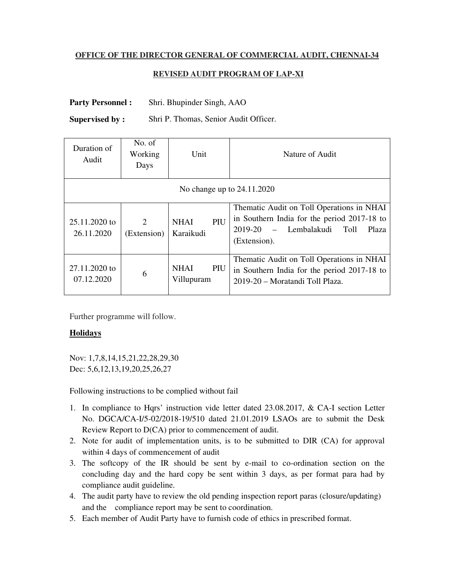## **OFFICE OF THE DIRECTOR GENERAL OF COMMERCIAL AUDIT, CHENNAI-34**

## **REVISED AUDIT PROGRAM OF LAP-XI**

Party Personnel : Shri. Bhupinder Singh, AAO

**Supervised by :** Shri P. Thomas, Senior Audit Officer.

| Duration of<br>Audit        | No. of<br>Working<br>Days                  | Unit                             | Nature of Audit                                                                                                                                    |
|-----------------------------|--------------------------------------------|----------------------------------|----------------------------------------------------------------------------------------------------------------------------------------------------|
| No change up to 24.11.2020  |                                            |                                  |                                                                                                                                                    |
| 25.11.2020 to<br>26.11.2020 | $\mathcal{D}_{\mathcal{L}}$<br>(Extension) | PIU<br><b>NHAI</b><br>Karaikudi  | Thematic Audit on Toll Operations in NHAI<br>in Southern India for the period 2017-18 to<br>- Lembalakudi Toll<br>2019-20<br>Plaza<br>(Extension). |
| 27.11.2020 to<br>07.12.2020 | 6                                          | <b>NHAI</b><br>PIU<br>Villupuram | Thematic Audit on Toll Operations in NHAI<br>in Southern India for the period 2017-18 to<br>2019-20 – Moratandi Toll Plaza.                        |

Further programme will follow.

## **Holidays**

Nov: 1,7,8,14,15,21,22,28,29,30 Dec: 5,6,12,13,19,20,25,26,27

Following instructions to be complied without fail

- 1. In compliance to Hqrs' instruction vide letter dated 23.08.2017, & CA-I section Letter No. DGCA/CA-I/5-02/2018-19/510 dated 21.01.2019 LSAOs are to submit the Desk Review Report to D(CA) prior to commencement of audit.
- 2. Note for audit of implementation units, is to be submitted to DIR (CA) for approval within 4 days of commencement of audit
- 3. The softcopy of the IR should be sent by e-mail to co-ordination section on the concluding day and the hard copy be sent within 3 days, as per format para had by compliance audit guideline.
- 4. The audit party have to review the old pending inspection report paras (closure/updating) and the compliance report may be sent to coordination.
- 5. Each member of Audit Party have to furnish code of ethics in prescribed format.